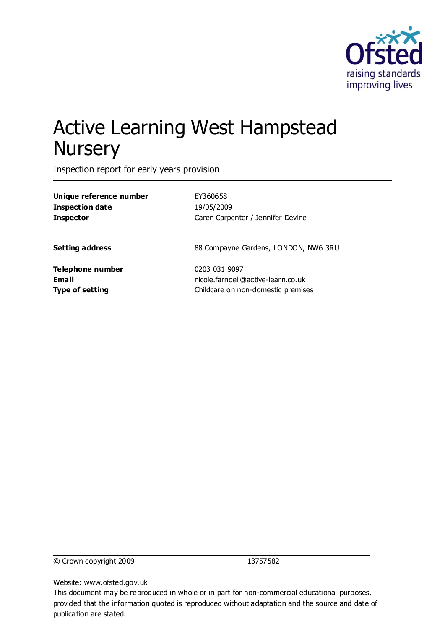

# Active Learning West Hampstead **Nursery**

Inspection report for early years provision

| Unique reference number          | EY360658                                            |  |
|----------------------------------|-----------------------------------------------------|--|
| <b>Inspection date</b>           | 19/05/2009                                          |  |
| <b>Inspector</b>                 | Caren Carpenter / Jennifer Devine                   |  |
| <b>Setting address</b>           | 88 Compayne Gardens, LONDON, NW6 3RU                |  |
| Telephone number<br><b>Email</b> | 0203 031 9097<br>nicole.farndell@active-learn.co.uk |  |
| <b>Type of setting</b>           | Childcare on non-domestic premises                  |  |
|                                  |                                                     |  |

© Crown copyright 2009 13757582

Website: www.ofsted.gov.uk

This document may be reproduced in whole or in part for non-commercial educational purposes, provided that the information quoted is reproduced without adaptation and the source and date of publication are stated.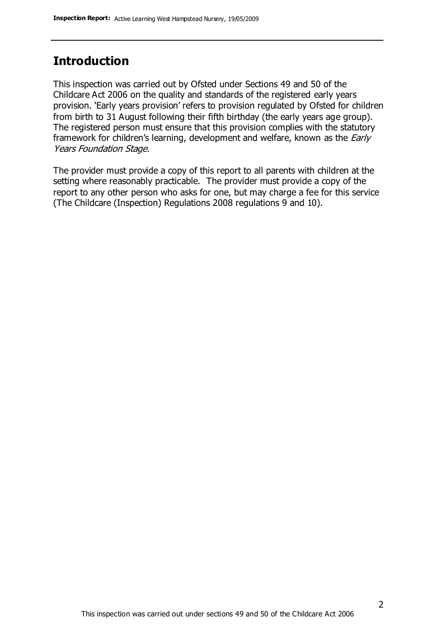#### **Introduction**

This inspection was carried out by Ofsted under Sections 49 and 50 of the Childcare Act 2006 on the quality and standards of the registered early years provision. 'Early years provision' refers to provision regulated by Ofsted for children from birth to 31 August following their fifth birthday (the early years age group). The registered person must ensure that this provision complies with the statutory framework for children's learning, development and welfare, known as the *Early* Years Foundation Stage.

The provider must provide a copy of this report to all parents with children at the setting where reasonably practicable. The provider must provide a copy of the report to any other person who asks for one, but may charge a fee for this service (The Childcare (Inspection) Regulations 2008 regulations 9 and 10).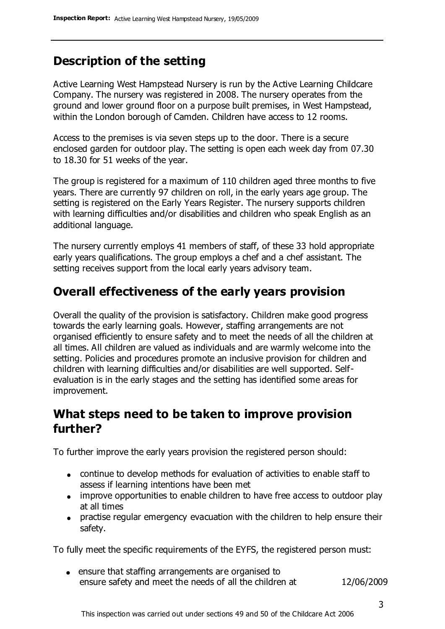## **Description of the setting**

Active Learning West Hampstead Nursery is run by the Active Learning Childcare Company. The nursery was registered in 2008. The nursery operates from the ground and lower ground floor on a purpose built premises, in West Hampstead, within the London borough of Camden. Children have access to 12 rooms.

Access to the premises is via seven steps up to the door. There is a secure enclosed garden for outdoor play. The setting is open each week day from 07.30 to 18.30 for 51 weeks of the year.

The group is registered for a maximum of 110 children aged three months to five years. There are currently 97 children on roll, in the early years age group. The setting is registered on the Early Years Register. The nursery supports children with learning difficulties and/or disabilities and children who speak English as an additional language.

The nursery currently employs 41 members of staff, of these 33 hold appropriate early years qualifications. The group employs a chef and a chef assistant. The setting receives support from the local early years advisory team.

### **Overall effectiveness of the early years provision**

Overall the quality of the provision is satisfactory. Children make good progress towards the early learning goals. However, staffing arrangements are not organised efficiently to ensure safety and to meet the needs of all the children at all times. All children are valued as individuals and are warmly welcome into the setting. Policies and procedures promote an inclusive provision for children and children with learning difficulties and/or disabilities are well supported. Selfevaluation is in the early stages and the setting has identified some areas for improvement.

#### **What steps need to be taken to improve provision further?**

To further improve the early years provision the registered person should:

- continue to develop methods for evaluation of activities to enable staff to assess if learning intentions have been met
- improve opportunities to enable children to have free access to outdoor play at all times
- practise regular emergency evacuation with the children to help ensure their safety.

To fully meet the specific requirements of the EYFS, the registered person must:

ensure that staffing arrangements are organised to ensure safety and meet the needs of all the children at 12/06/2009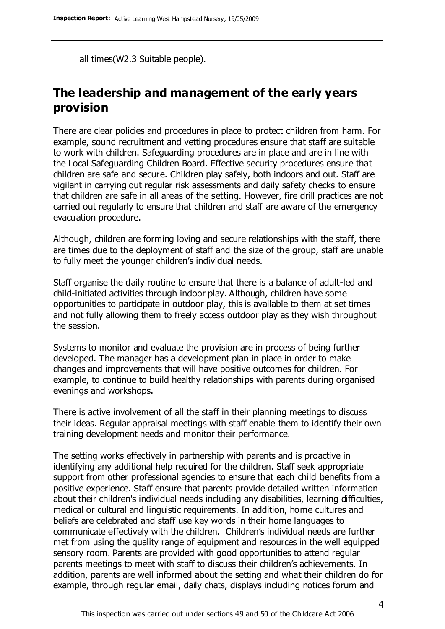all times(W2.3 Suitable people).

### **The leadership and management of the early years provision**

There are clear policies and procedures in place to protect children from harm. For example, sound recruitment and vetting procedures ensure that staff are suitable to work with children. Safeguarding procedures are in place and are in line with the Local Safeguarding Children Board. Effective security procedures ensure that children are safe and secure. Children play safely, both indoors and out. Staff are vigilant in carrying out regular risk assessments and daily safety checks to ensure that children are safe in all areas of the setting. However, fire drill practices are not carried out regularly to ensure that children and staff are aware of the emergency evacuation procedure.

Although, children are forming loving and secure relationships with the staff, there are times due to the deployment of staff and the size of the group, staff are unable to fully meet the younger children's individual needs.

Staff organise the daily routine to ensure that there is a balance of adult-led and child-initiated activities through indoor play. Although, children have some opportunities to participate in outdoor play, this is available to them at set times and not fully allowing them to freely access outdoor play as they wish throughout the session.

Systems to monitor and evaluate the provision are in process of being further developed. The manager has a development plan in place in order to make changes and improvements that will have positive outcomes for children. For example, to continue to build healthy relationships with parents during organised evenings and workshops.

There is active involvement of all the staff in their planning meetings to discuss their ideas. Regular appraisal meetings with staff enable them to identify their own training development needs and monitor their performance.

The setting works effectively in partnership with parents and is proactive in identifying any additional help required for the children. Staff seek appropriate support from other professional agencies to ensure that each child benefits from a positive experience. Staff ensure that parents provide detailed written information about their children's individual needs including any disabilities, learning difficulties, medical or cultural and linguistic requirements. In addition, home cultures and beliefs are celebrated and staff use key words in their home languages to communicate effectively with the children. Children's individual needs are further met from using the quality range of equipment and resources in the well equipped sensory room. Parents are provided with good opportunities to attend regular parents meetings to meet with staff to discuss their children's achievements. In addition, parents are well informed about the setting and what their children do for example, through regular email, daily chats, displays including notices forum and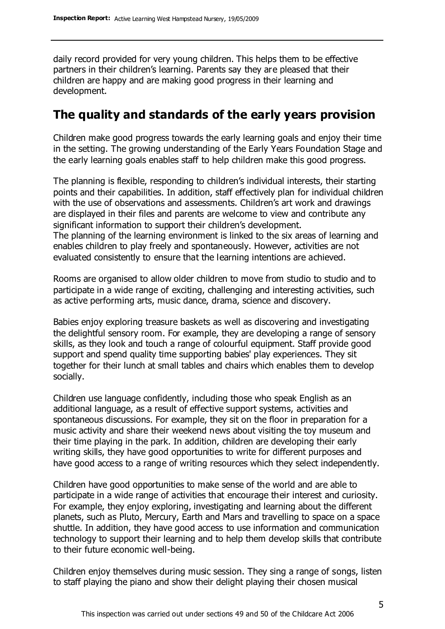daily record provided for very young children. This helps them to be effective partners in their children's learning. Parents say they are pleased that their children are happy and are making good progress in their learning and development.

#### **The quality and standards of the early years provision**

Children make good progress towards the early learning goals and enjoy their time in the setting. The growing understanding of the Early Years Foundation Stage and the early learning goals enables staff to help children make this good progress.

The planning is flexible, responding to children's individual interests, their starting points and their capabilities. In addition, staff effectively plan for individual children with the use of observations and assessments. Children's art work and drawings are displayed in their files and parents are welcome to view and contribute any significant information to support their children's development. The planning of the learning environment is linked to the six areas of learning and enables children to play freely and spontaneously. However, activities are not evaluated consistently to ensure that the learning intentions are achieved.

Rooms are organised to allow older children to move from studio to studio and to participate in a wide range of exciting, challenging and interesting activities, such as active performing arts, music dance, drama, science and discovery.

Babies enjoy exploring treasure baskets as well as discovering and investigating the delightful sensory room. For example, they are developing a range of sensory skills, as they look and touch a range of colourful equipment. Staff provide good support and spend quality time supporting babies' play experiences. They sit together for their lunch at small tables and chairs which enables them to develop socially.

Children use language confidently, including those who speak English as an additional language, as a result of effective support systems, activities and spontaneous discussions. For example, they sit on the floor in preparation for a music activity and share their weekend news about visiting the toy museum and their time playing in the park. In addition, children are developing their early writing skills, they have good opportunities to write for different purposes and have good access to a range of writing resources which they select independently.

Children have good opportunities to make sense of the world and are able to participate in a wide range of activities that encourage their interest and curiosity. For example, they enjoy exploring, investigating and learning about the different planets, such as Pluto, Mercury, Earth and Mars and travelling to space on a space shuttle. In addition, they have good access to use information and communication technology to support their learning and to help them develop skills that contribute to their future economic well-being.

Children enjoy themselves during music session. They sing a range of songs, listen to staff playing the piano and show their delight playing their chosen musical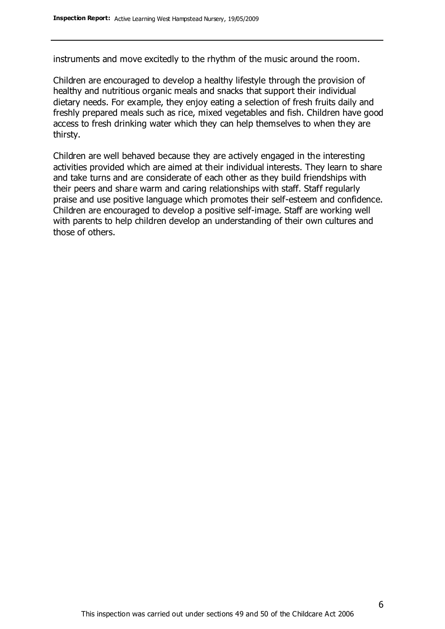instruments and move excitedly to the rhythm of the music around the room.

Children are encouraged to develop a healthy lifestyle through the provision of healthy and nutritious organic meals and snacks that support their individual dietary needs. For example, they enjoy eating a selection of fresh fruits daily and freshly prepared meals such as rice, mixed vegetables and fish. Children have good access to fresh drinking water which they can help themselves to when they are thirsty.

Children are well behaved because they are actively engaged in the interesting activities provided which are aimed at their individual interests. They learn to share and take turns and are considerate of each other as they build friendships with their peers and share warm and caring relationships with staff. Staff regularly praise and use positive language which promotes their self-esteem and confidence. Children are encouraged to develop a positive self-image. Staff are working well with parents to help children develop an understanding of their own cultures and those of others.